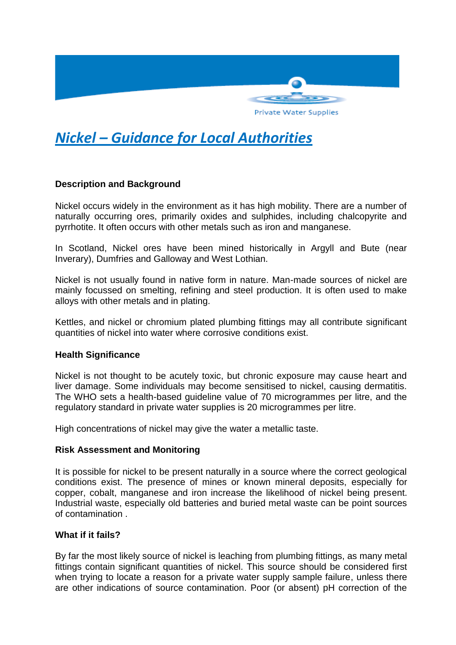

# *Nickel – Guidance for Local Authorities*

## **Description and Background**

Nickel occurs widely in the environment as it has high mobility. There are a number of naturally occurring ores, primarily oxides and sulphides, including chalcopyrite and pyrrhotite. It often occurs with other metals such as iron and manganese.

In Scotland, Nickel ores have been mined historically in Argyll and Bute (near Inverary), Dumfries and Galloway and West Lothian.

Nickel is not usually found in native form in nature. Man-made sources of nickel are mainly focussed on smelting, refining and steel production. It is often used to make alloys with other metals and in plating.

Kettles, and nickel or chromium plated plumbing fittings may all contribute significant quantities of nickel into water where corrosive conditions exist.

### **Health Significance**

Nickel is not thought to be acutely toxic, but chronic exposure may cause heart and liver damage. Some individuals may become sensitised to nickel, causing dermatitis. The WHO sets a health-based guideline value of 70 microgrammes per litre, and the regulatory standard in private water supplies is 20 microgrammes per litre.

High concentrations of nickel may give the water a metallic taste.

#### **Risk Assessment and Monitoring**

It is possible for nickel to be present naturally in a source where the correct geological conditions exist. The presence of mines or known mineral deposits, especially for copper, cobalt, manganese and iron increase the likelihood of nickel being present. Industrial waste, especially old batteries and buried metal waste can be point sources of contamination .

#### **What if it fails?**

By far the most likely source of nickel is leaching from plumbing fittings, as many metal fittings contain significant quantities of nickel. This source should be considered first when trying to locate a reason for a private water supply sample failure, unless there are other indications of source contamination. Poor (or absent) pH correction of the